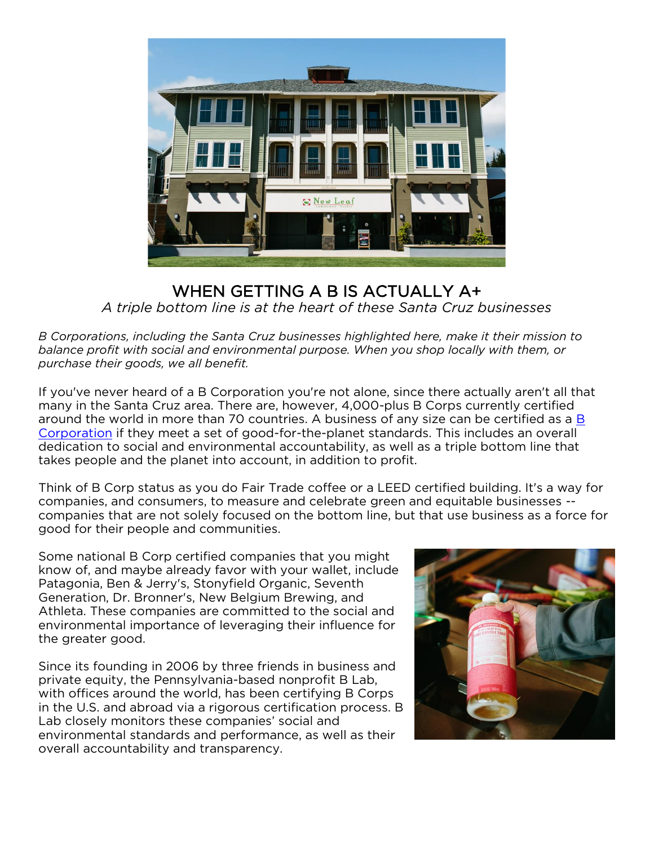

## WHEN GETTING A B IS ACTUALLY A+ *A triple bottom line is at the heart of these Santa Cruz businesses*

*B Corporations, including the Santa Cruz businesses highlighted here, make it their mission to balance profit with social and environmental purpose. When you shop locally with them, or purchase their goods, we all benefit.*

If you've never heard of a B Corporation you're not alone, since there actually aren't all that many in the Santa Cruz area. There are, however, 4,000-plus B Corps currently certified around the world in more than 70 countries. A business of any size can be certified as a [B](https://bcorporation.net/)  [Corporation](https://bcorporation.net/) if they meet a set of good-for-the-planet standards. This includes an overall dedication to social and environmental accountability, as well as a triple bottom line that takes people and the planet into account, in addition to profit.

Think of B Corp status as you do Fair Trade coffee or a LEED certified building. It's a way for companies, and consumers, to measure and celebrate green and equitable businesses - companies that are not solely focused on the bottom line, but that use business as a force for good for their people and communities.

Some national B Corp certified companies that you might know of, and maybe already favor with your wallet, include Patagonia, Ben & Jerry's, Stonyfield Organic, Seventh Generation, Dr. Bronner's, New Belgium Brewing, and Athleta. These companies are committed to the social and environmental importance of leveraging their influence for the greater good.

Since its founding in 2006 by three friends in business and private equity, the Pennsylvania-based nonprofit B Lab, with offices around the world, has been certifying B Corps in the U.S. and abroad via a rigorous certification process. B Lab closely monitors these companies' social and environmental standards and performance, as well as their overall accountability and transparency.

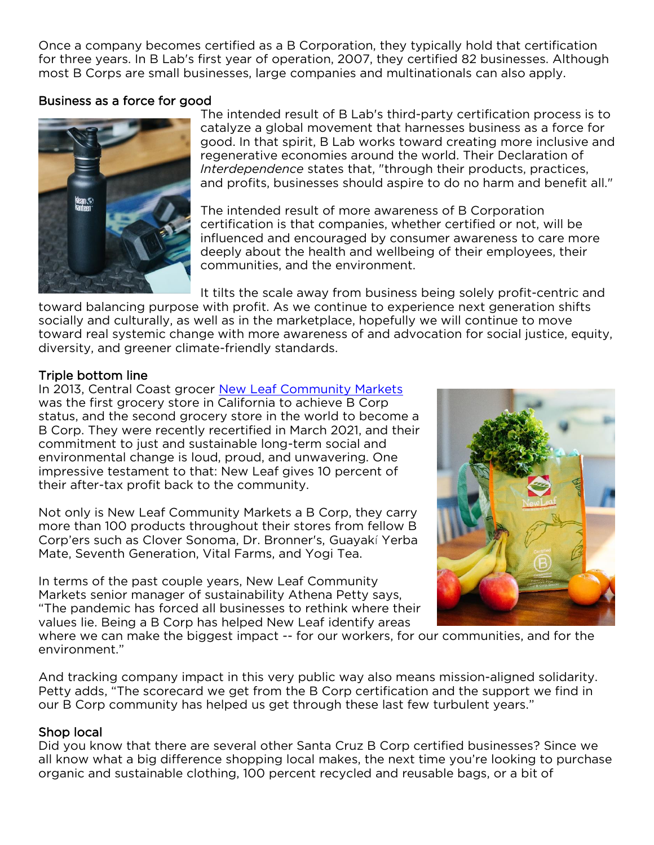Once a company becomes certified as a B Corporation, they typically hold that certification for three years. In B Lab's first year of operation, 2007, they certified 82 businesses. Although most B Corps are small businesses, large companies and multinationals can also apply.

## Business as a force for good



The intended result of B Lab's third-party certification process is to catalyze a global movement that harnesses business as a force for good. In that spirit, B Lab works toward creating more inclusive and regenerative economies around the world. Their Declaration of *Interdependence* states that, "through their products, practices, and profits, businesses should aspire to do no harm and benefit all."

The intended result of more awareness of B Corporation certification is that companies, whether certified or not, will be influenced and encouraged by consumer awareness to care more deeply about the health and wellbeing of their employees, their communities, and the environment.

It tilts the scale away from business being solely profit-centric and

toward balancing purpose with profit. As we continue to experience next generation shifts socially and culturally, as well as in the marketplace, hopefully we will continue to move toward real systemic change with more awareness of and advocation for social justice, equity, diversity, and greener climate-friendly standards.

## Triple bottom line

In 2013, Central Coast grocer [New Leaf Community Markets](https://www.newleaf.com/different/b-corp/) was the first grocery store in California to achieve B Corp status, and the second grocery store in the world to become a B Corp. They were recently recertified in March 2021, and their commitment to just and sustainable long-term social and environmental change is loud, proud, and unwavering. One impressive testament to that: New Leaf gives 10 percent of their after-tax profit back to the community.

Not only is New Leaf Community Markets a B Corp, they carry more than 100 products throughout their stores from fellow B Corp'ers such as Clover Sonoma, Dr. Bronner's, Guayakí Yerba Mate, Seventh Generation, Vital Farms, and Yogi Tea.

In terms of the past couple years, New Leaf Community Markets senior manager of sustainability Athena Petty says, "The pandemic has forced all businesses to rethink where their values lie. Being a B Corp has helped New Leaf identify areas



where we can make the biggest impact -- for our workers, for our communities, and for the environment."

And tracking company impact in this very public way also means mission-aligned solidarity. Petty adds, "The scorecard we get from the B Corp certification and the support we find in our B Corp community has helped us get through these last few turbulent years."

# Shop local

Did you know that there are several other Santa Cruz B Corp certified businesses? Since we all know what a big difference shopping local makes, the next time you're looking to purchase organic and sustainable clothing, 100 percent recycled and reusable bags, or a bit of